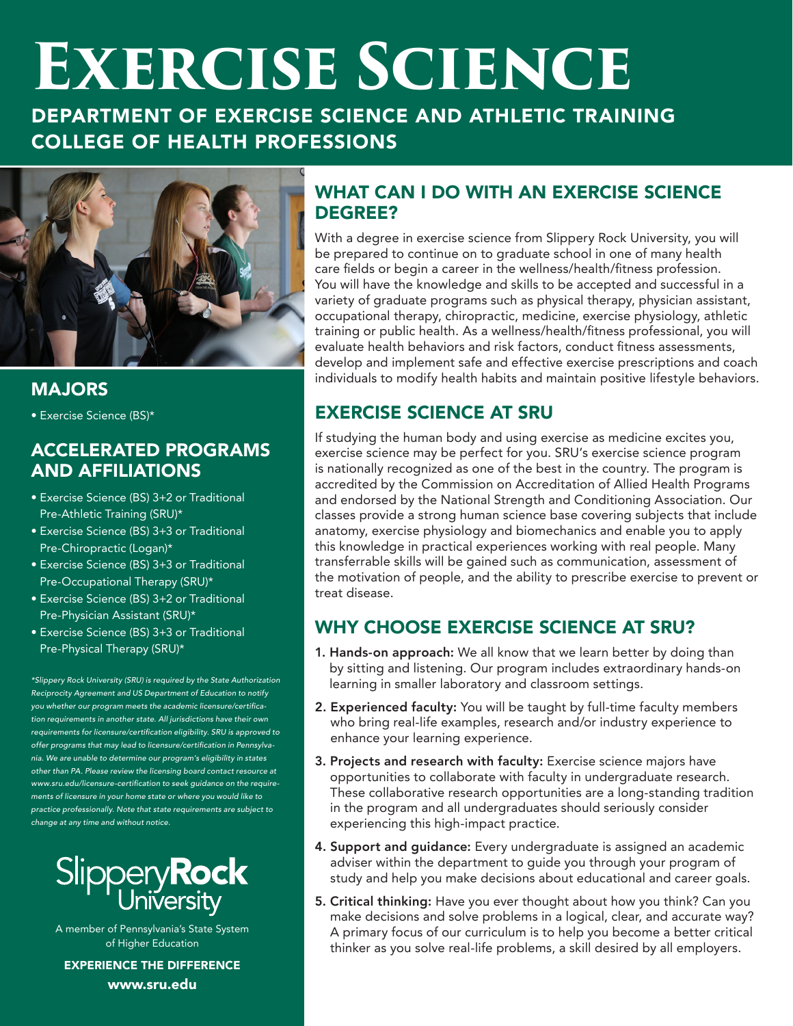# **EXERCISE SCIENCE**

DEPARTMENT OF EXERCISE SCIENCE AND ATHLETIC TRAINING COLLEGE OF HEALTH PROFESSIONS



#### MAJORS

• Exercise Science (BS)\*

#### ACCELERATED PROGRAMS AND AFFILIATIONS

- Exercise Science (BS) 3+2 or Traditional Pre-Athletic Training (SRU)\*
- Exercise Science (BS) 3+3 or Traditional Pre-Chiropractic (Logan)\*
- Exercise Science (BS) 3+3 or Traditional Pre-Occupational Therapy (SRU)\*
- Exercise Science (BS) 3+2 or Traditional Pre-Physician Assistant (SRU)\*
- Exercise Science (BS) 3+3 or Traditional Pre-Physical Therapy (SRU)\*

*\*Slippery Rock University (SRU) is required by the State Authorization Reciprocity Agreement and US Department of Education to notify*  you whether our program meets the academic licensure/certifica*tion requirements in another state. All jurisdictions have their own*  requirements for licensure/certification eligibility. SRU is approved to offer programs that may lead to licensure/certification in Pennsylva*nia. We are unable to determine our program's eligibility in states*  other than PA. Please review the licensing board contact resource at www.sru.edu/licensure-certification to seek guidance on the require*ments of licensure in your home state or where you would like to practice professionally. Note that state requirements are subject to change at any time and without notice.*



A member of Pennsylvania's State System of Higher Education

EXPERIENCE THE DIFFERENCE www.sru.edu

#### WHAT CAN I DO WITH AN EXERCISE SCIENCE DEGREE?

With a degree in exercise science from Slippery Rock University, you will be prepared to continue on to graduate school in one of many health care fields or begin a career in the wellness/health/fitness profession. You will have the knowledge and skills to be accepted and successful in a variety of graduate programs such as physical therapy, physician assistant, occupational therapy, chiropractic, medicine, exercise physiology, athletic training or public health. As a wellness/health/fitness professional, you will evaluate health behaviors and risk factors, conduct fitness assessments, develop and implement safe and effective exercise prescriptions and coach individuals to modify health habits and maintain positive lifestyle behaviors.

#### EXERCISE SCIENCE AT SRU

If studying the human body and using exercise as medicine excites you, exercise science may be perfect for you. SRU's exercise science program is nationally recognized as one of the best in the country. The program is accredited by the Commission on Accreditation of Allied Health Programs and endorsed by the National Strength and Conditioning Association. Our classes provide a strong human science base covering subjects that include anatomy, exercise physiology and biomechanics and enable you to apply this knowledge in practical experiences working with real people. Many transferrable skills will be gained such as communication, assessment of the motivation of people, and the ability to prescribe exercise to prevent or treat disease.

#### WHY CHOOSE EXERCISE SCIENCE AT SRU?

- 1. Hands-on approach: We all know that we learn better by doing than by sitting and listening. Our program includes extraordinary hands-on learning in smaller laboratory and classroom settings.
- 2. Experienced faculty: You will be taught by full-time faculty members who bring real-life examples, research and/or industry experience to enhance your learning experience.
- 3. Projects and research with faculty: Exercise science majors have opportunities to collaborate with faculty in undergraduate research. These collaborative research opportunities are a long-standing tradition in the program and all undergraduates should seriously consider experiencing this high-impact practice.
- 4. Support and guidance: Every undergraduate is assigned an academic adviser within the department to guide you through your program of study and help you make decisions about educational and career goals.
- 5. Critical thinking: Have you ever thought about how you think? Can you make decisions and solve problems in a logical, clear, and accurate way? A primary focus of our curriculum is to help you become a better critical thinker as you solve real-life problems, a skill desired by all employers.